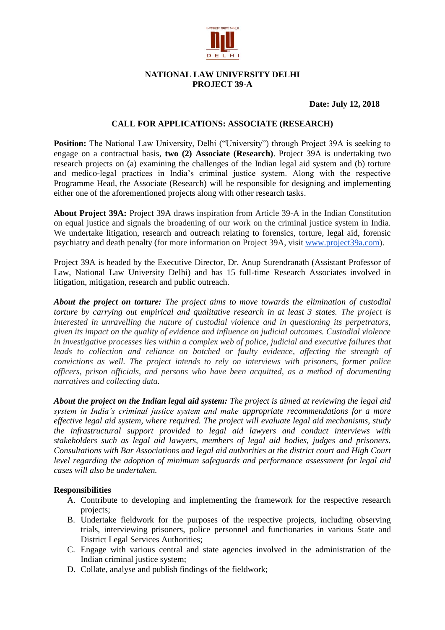

# **NATIONAL LAW UNIVERSITY DELHI PROJECT 39-A**

# **Date: July 12, 2018**

## **CALL FOR APPLICATIONS: ASSOCIATE (RESEARCH)**

**Position:** The National Law University, Delhi ("University") through Project 39A is seeking to engage on a contractual basis, **two (2) Associate (Research)**. Project 39A is undertaking two research projects on (a) examining the challenges of the Indian legal aid system and (b) torture and medico-legal practices in India's criminal justice system. Along with the respective Programme Head, the Associate (Research) will be responsible for designing and implementing either one of the aforementioned projects along with other research tasks.

**About Project 39A:** Project 39A draws inspiration from Article 39-A in the Indian Constitution on equal justice and signals the broadening of our work on the criminal justice system in India. We undertake litigation, research and outreach relating to forensics, torture, legal aid, forensic psychiatry and death penalty (for more information on Project 39A, visit [www.project39a.com\)](http://www.project39a.com/).

Project 39A is headed by the Executive Director, Dr. Anup Surendranath (Assistant Professor of Law, National Law University Delhi) and has 15 full-time Research Associates involved in litigation, mitigation, research and public outreach.

*About the project on torture: The project aims to move towards the elimination of custodial torture by carrying out empirical and qualitative research in at least 3 states. The project is interested in unravelling the nature of custodial violence and in questioning its perpetrators, given its impact on the quality of evidence and influence on judicial outcomes. Custodial violence in investigative processes lies within a complex web of police, judicial and executive failures that*  leads to collection and reliance on botched or faulty evidence, affecting the strength of *convictions as well. The project intends to rely on interviews with prisoners, former police officers, prison officials, and persons who have been acquitted, as a method of documenting narratives and collecting data.*

*About the project on the Indian legal aid system: The project is aimed at reviewing the legal aid system in India's criminal justice system and make appropriate recommendations for a more effective legal aid system, where required. The project will evaluate legal aid mechanisms, study the infrastructural support provided to legal aid lawyers and conduct interviews with stakeholders such as legal aid lawyers, members of legal aid bodies, judges and prisoners. Consultations with Bar Associations and legal aid authorities at the district court and High Court level regarding the adoption of minimum safeguards and performance assessment for legal aid cases will also be undertaken.*

#### **Responsibilities**

- A. Contribute to developing and implementing the framework for the respective research projects;
- B. Undertake fieldwork for the purposes of the respective projects, including observing trials, interviewing prisoners, police personnel and functionaries in various State and District Legal Services Authorities;
- C. Engage with various central and state agencies involved in the administration of the Indian criminal justice system;
- D. Collate, analyse and publish findings of the fieldwork;